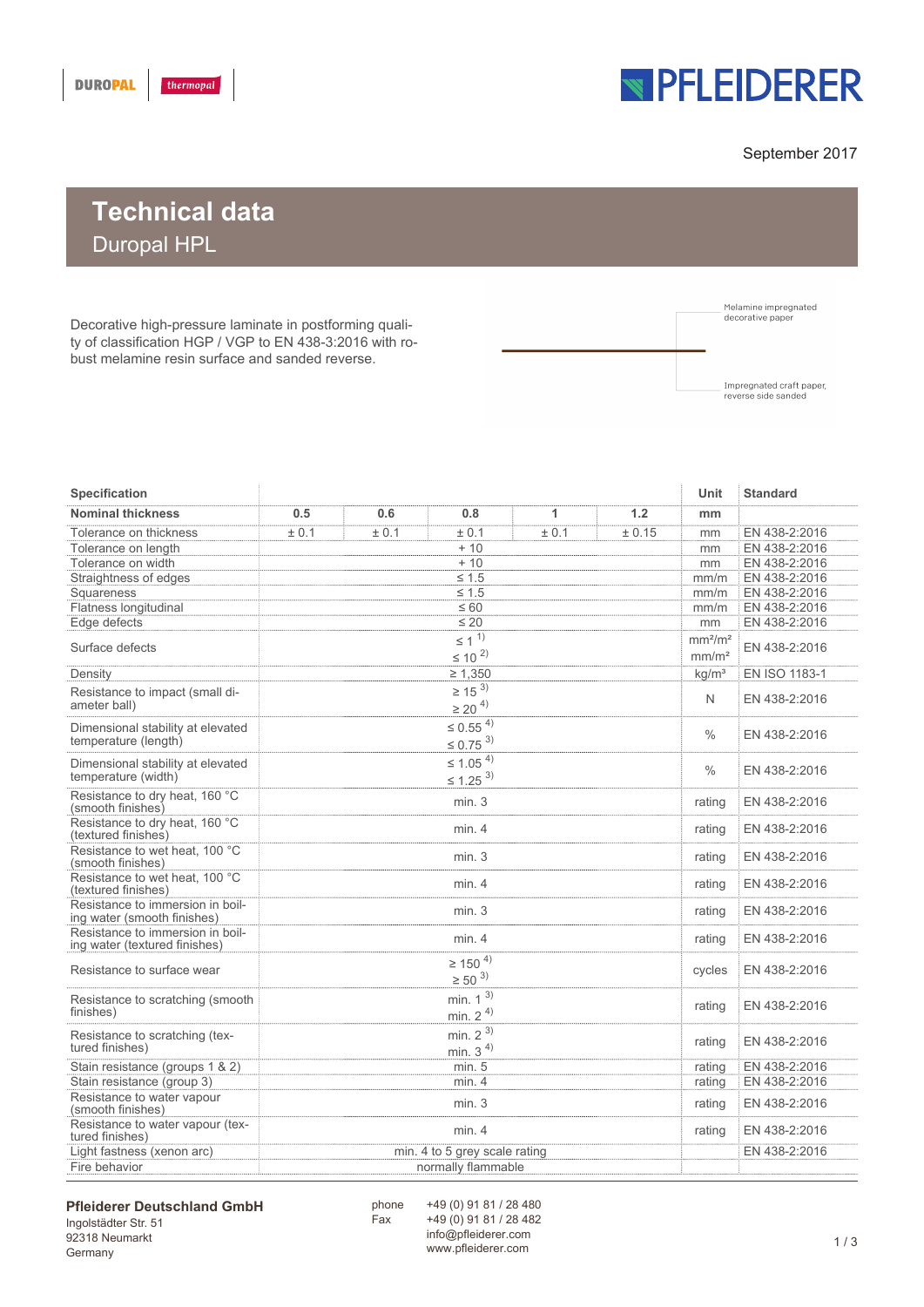

### September 2017

# **Technical data** Duropal HPL

Decorative high-pressure laminate in postforming quality of classification HGP / VGP to EN 438-3:2016 with robust melamine resin surface and sanded reverse.



| Specification                                                     |                                   |                                              |       |       |       |        |        | <b>Standard</b> |
|-------------------------------------------------------------------|-----------------------------------|----------------------------------------------|-------|-------|-------|--------|--------|-----------------|
| <b>Nominal thickness</b>                                          |                                   | 0.5                                          | 0.6   | 0.8   | 1     | 1.2    | mm     |                 |
| Tolerance on thickness                                            |                                   | ± 0.1                                        | ± 0.1 | ± 0.1 | ± 0.1 | ± 0.15 | mm     | EN 438-2:2016   |
| Tolerance on length                                               |                                   | $+10$                                        |       |       |       |        |        | EN 438-2:2016   |
| Tolerance on width                                                |                                   | $+10$                                        |       |       |       |        |        | EN 438-2:2016   |
|                                                                   | Straightness of edges             | $\leq 1.5$                                   |       |       |       |        |        | EN 438-2:2016   |
| Squareness                                                        |                                   | $\leq 1.5$                                   |       |       |       |        |        | EN 438-2:2016   |
| Flatness longitudinal                                             |                                   | $\leq 60$                                    |       |       |       |        |        | EN 438-2:2016   |
| Edge defects                                                      |                                   | $\leq 20$                                    |       |       |       |        |        | EN 438-2:2016   |
|                                                                   |                                   | $\leq$ 1 $^{1)}$                             |       |       |       |        |        |                 |
| Surface defects                                                   |                                   |                                              |       |       |       |        |        | EN 438-2:2016   |
|                                                                   |                                   | $\leq$ 10 $^{2)}$                            |       |       |       |        |        |                 |
| Density                                                           |                                   | $\geq 1,350$                                 |       |       |       |        |        | EN ISO 1183-1   |
|                                                                   | Resistance to impact (small di-   | $\geq$ 15 $^{3)}$<br>$\geq$ 20 $^{4)}$       |       |       |       |        |        | EN 438-2:2016   |
| ameter ball)                                                      |                                   |                                              |       |       |       |        |        |                 |
|                                                                   | Dimensional stability at elevated | $\leq 0.55^{4}$<br>$\leq 0.75$ <sup>3)</sup> |       |       |       |        |        |                 |
|                                                                   | temperature (length)              |                                              |       |       |       |        |        | EN 438-2:2016   |
|                                                                   |                                   |                                              |       |       |       |        |        |                 |
|                                                                   | Dimensional stability at elevated | $\leq 1.05^{4}$                              |       |       |       |        |        | EN 438-2:2016   |
| temperature (width)                                               |                                   | $\leq$ 1.25 <sup>3)</sup>                    |       |       |       |        |        |                 |
| Resistance to dry heat, 160 °C<br>(smooth finishes)               |                                   | min.3                                        |       |       |       |        |        | EN 438-2:2016   |
| Resistance to dry heat, 160 °C<br>(textured finishes)             |                                   | min.4                                        |       |       |       |        |        | EN 438-2:2016   |
| (smooth finishes)                                                 | Resistance to wet heat, 100 °C    | min.3                                        |       |       |       |        |        | EN 438-2:2016   |
| Resistance to wet heat, 100 °C<br>(textured finishes)             |                                   | min.4                                        |       |       |       |        |        | EN 438-2:2016   |
| Resistance to immersion in boil-<br>ing water (smooth finishes)   |                                   | min.3                                        |       |       |       |        |        | EN 438-2:2016   |
| Resistance to immersion in boil-<br>ing water (textured finishes) |                                   | min.4                                        |       |       |       |        |        | EN 438-2:2016   |
| Resistance to surface wear                                        |                                   | $\geq$ 150 $^{4)}$                           |       |       |       |        | cycles |                 |
|                                                                   |                                   | $\geq$ 50 <sup>3)</sup>                      |       |       |       |        |        | EN 438-2:2016   |
| Resistance to scratching (smooth<br>finishes)                     |                                   | min. $1^{3}$                                 |       |       |       |        |        |                 |
|                                                                   |                                   |                                              |       |       |       |        |        | EN 438-2:2016   |
|                                                                   |                                   | min. $24$                                    |       |       |       |        |        |                 |
|                                                                   | Resistance to scratching (tex-    | min. $2^{3}$                                 |       |       |       |        | rating | EN 438-2:2016   |
| tured finishes)                                                   |                                   | min. $34$                                    |       |       |       |        |        |                 |
| Stain resistance (groups 1 & 2)                                   |                                   | min. 5                                       |       |       |       |        |        | EN 438-2:2016   |
| Stain resistance (group 3)                                        |                                   | min.4                                        |       |       |       |        |        | EN 438-2:2016   |
| Resistance to water vapour<br>(smooth finishes)                   |                                   | min.3                                        |       |       |       |        |        | EN 438-2:2016   |
| Resistance to water vapour (tex-<br>tured finishes)               |                                   | min.4                                        |       |       |       |        |        | EN 438-2:2016   |
| Light fastness (xenon arc)                                        |                                   | min. 4 to 5 grey scale rating                |       |       |       |        |        | EN 438-2:2016   |
| Fire behavior                                                     |                                   | normally flammable                           |       |       |       |        |        |                 |

#### **Pfleiderer Deutschland GmbH**

Ingolstädter Str. 51 92318 Neumarkt Germany

+49 (0) 91 81 / 28 480 +49 (0) 91 81 / 28 482 info@pfleiderer.com mo@phelderer.com 1 / 3

.<br>Fax

phone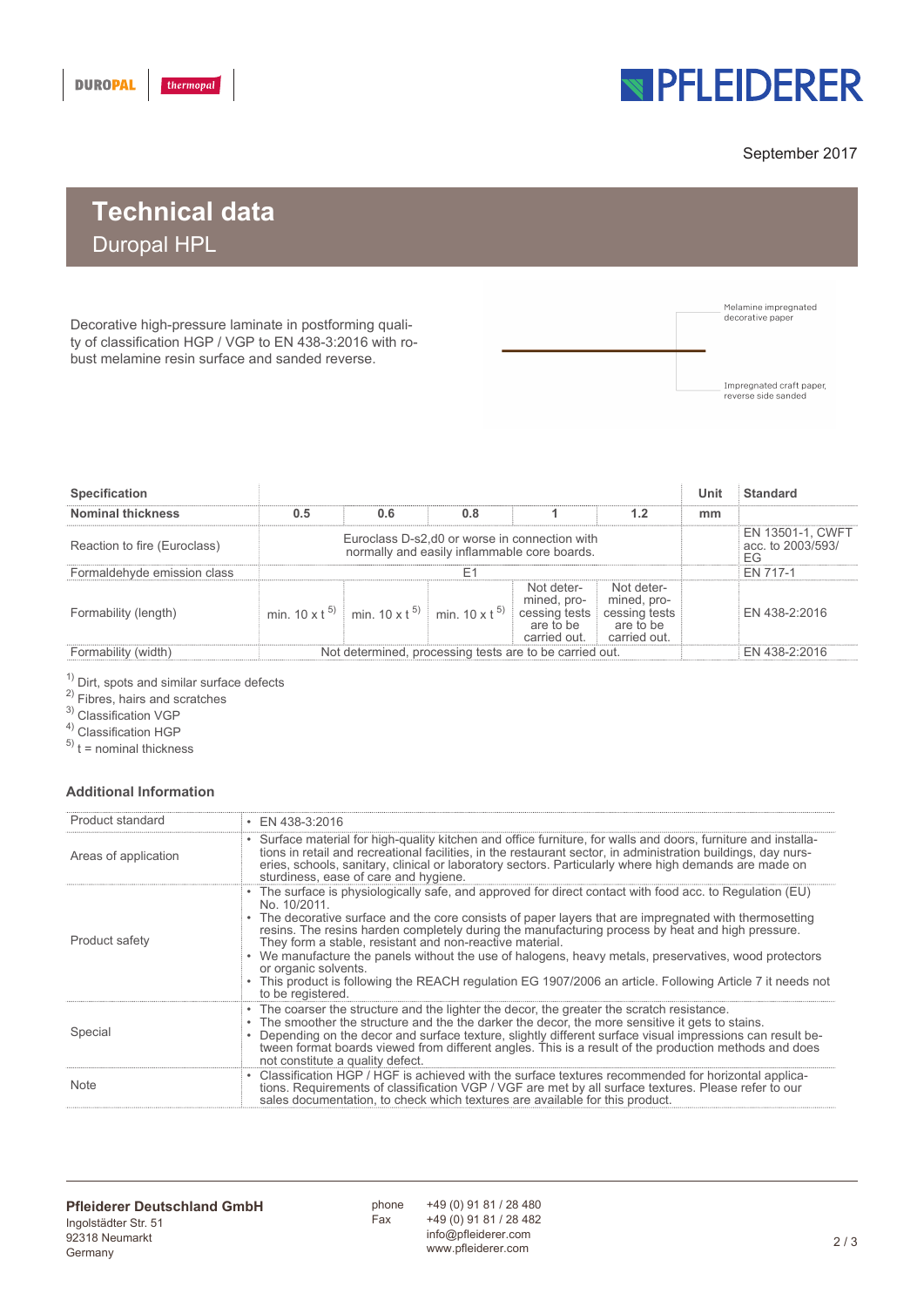

### September 2017

# **Technical data** Duropal HPL

Decorative high-pressure laminate in postforming quality of classification HGP / VGP to EN 438-3:2016 with robust melamine resin surface and sanded reverse.



| <b>Specification</b>         |                                                                                                |                                                                   |     |                                                                         |                                                                         |               | Standard                                           |
|------------------------------|------------------------------------------------------------------------------------------------|-------------------------------------------------------------------|-----|-------------------------------------------------------------------------|-------------------------------------------------------------------------|---------------|----------------------------------------------------|
| <b>Nominal thickness</b>     | 0.5                                                                                            | 0.6                                                               | 0.8 |                                                                         | 1.2                                                                     | mm            |                                                    |
| Reaction to fire (Euroclass) | Euroclass D-s2, d0 or worse in connection with<br>normally and easily inflammable core boards. |                                                                   |     |                                                                         |                                                                         |               | <b>EN 13501-1. CWFT</b><br>acc. to 2003/593/<br>FG |
| Formaldehyde emission class  |                                                                                                |                                                                   |     |                                                                         |                                                                         |               | EN 717-1                                           |
| Formability (length)         |                                                                                                | min $10 \times t^{5}$ min $10 \times t^{5}$ min $10 \times t^{5}$ |     | Not deter-<br>mined, pro-<br>cessing tests<br>are to be<br>carried out. | Not deter-<br>mined, pro-<br>cessing tests<br>are to be<br>carried out. |               | EN 438-2:2016                                      |
| Formability (width)          | Not determined, processing tests are to be carried out.                                        |                                                                   |     |                                                                         |                                                                         | EN 438-2:2016 |                                                    |

 $1)$  Dirt, spots and similar surface defects

<sup>2)</sup> Fibres, hairs and scratches

3) Classification VGP

4) Classification HGP

 $(5)$  t = nominal thickness

#### **Additional Information**

| Product standard     | $\cdot$ EN 438-3:2016                                                                                                                                                                                                                                                                                                                                                                                                                                                                                                                                                                                                                                          |
|----------------------|----------------------------------------------------------------------------------------------------------------------------------------------------------------------------------------------------------------------------------------------------------------------------------------------------------------------------------------------------------------------------------------------------------------------------------------------------------------------------------------------------------------------------------------------------------------------------------------------------------------------------------------------------------------|
| Areas of application | • Surface material for high-quality kitchen and office furniture, for walls and doors, furniture and installa-<br>tions in retail and recreational facilities, in the restaurant sector, in administration buildings, day nurs-<br>eries, schools, sanitary, clinical or laboratory sectors. Particularly where high demands are made on<br>sturdiness, ease of care and hygiene.                                                                                                                                                                                                                                                                              |
| Product safety       | The surface is physiologically safe, and approved for direct contact with food acc. to Regulation (EU)<br>No. 10/2011.<br>The decorative surface and the core consists of paper layers that are impregnated with thermosetting<br>resins. The resins harden completely during the manufacturing process by heat and high pressure.<br>They form a stable, resistant and non-reactive material.<br>We manufacture the panels without the use of halogens, heavy metals, preservatives, wood protectors<br>or organic solvents.<br>This product is following the REACH regulation EG 1907/2006 an article. Following Article 7 it needs not<br>to be registered. |
| Special              | • The coarser the structure and the lighter the decor, the greater the scratch resistance.<br>The smoother the structure and the the darker the decor, the more sensitive it gets to stains.<br>Depending on the decor and surface texture, slightly different surface visual impressions can result be-<br>tween format boards viewed from different angles. This is a result of the production methods and does<br>not constitute a quality defect.                                                                                                                                                                                                          |
| <b>Note</b>          | Classification HGP / HGF is achieved with the surface textures recommended for horizontal applica-<br>tions. Requirements of classification VGP / VGF are met by all surface textures. Please refer to our<br>sales documentation, to check which textures are available for this product.                                                                                                                                                                                                                                                                                                                                                                     |

.<br>Fax phone

+49 (0) 91 81 / 28 480 +49 (0) 91 81 / 28 482 info@pfleiderer.com www.pfleiderer.com<br>www.pfleiderer.com 2 / 3